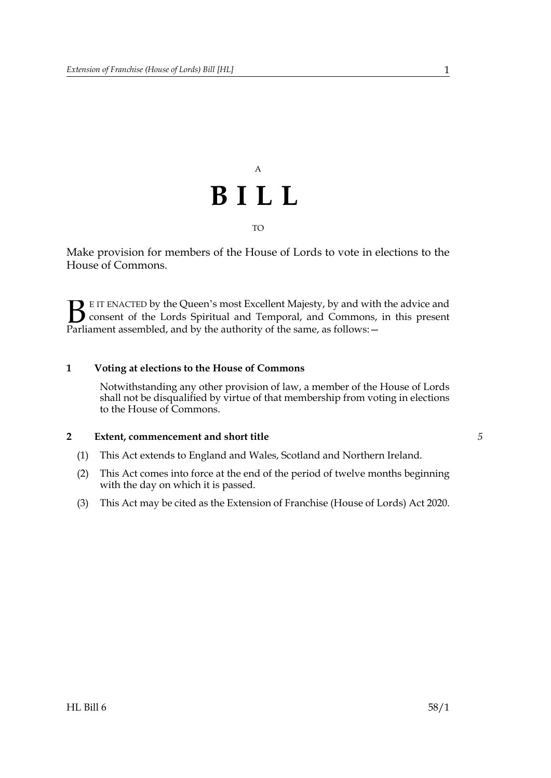

Make provision for members of the House of Lords to vote in elections to the House of Commons.

E IT ENACTED by the Queen's most Excellent Majesty, by and with the advice and consent of the Lords Spiritual and Temporal, and Commons, in this present **B** E IT ENACTED by the Queen's most Excellent Majesty, by and with consent of the Lords Spiritual and Temporal, and Commons, Parliament assembled, and by the authority of the same, as follows:  $-$ 

## **1 Voting at elections to the House of Commons**

Notwithstanding any other provision of law, a member of the House of Lords shall not be disqualified by virtue of that membership from voting in elections to the House of Commons.

## **2 Extent, commencement and short title**

- (1) This Act extends to England and Wales, Scotland and Northern Ireland.
- (2) This Act comes into force at the end of the period of twelve months beginning with the day on which it is passed.
- (3) This Act may be cited as the Extension of Franchise (House of Lords) Act 2020.

*5*